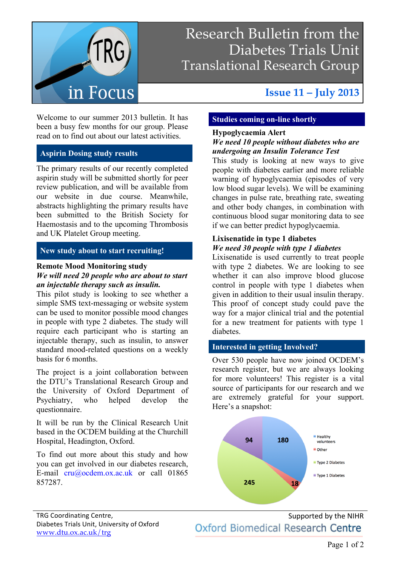

## Research Bulletin from the Diabetes Trials Unit Translational Research Group

# Welcome to our summer 2013 bulletin. It has

been a busy few months for our group. Please read on to find out about our latest activities.

#### **Aspirin Dosing study results**

The primary results of our recently completed aspirin study will be submitted shortly for peer review publication, and will be available from our website in due course. Meanwhile, abstracts highlighting the primary results have been submitted to the British Society for Haemostasis and to the upcoming Thrombosis and UK Platelet Group meeting.

#### **New study about to start recruiting!**

#### **Remote Mood Monitoring study**

#### *We will need 20 people who are about to start an injectable therapy such as insulin.*

This pilot study is looking to see whether a simple SMS text-messaging or website system can be used to monitor possible mood changes in people with type 2 diabetes. The study will require each participant who is starting an injectable therapy, such as insulin, to answer standard mood-related questions on a weekly basis for 6 months.

The project is a joint collaboration between the DTU's Translational Research Group and the University of Oxford Department of Psychiatry, who helped develop the questionnaire.

It will be run by the Clinical Research Unit based in the OCDEM building at the Churchill Hospital, Headington, Oxford.

To find out more about this study and how you can get involved in our diabetes research, E-mail cru@ocdem.ox.ac.uk or call 01865 857287.

### **Issue 11 – July 2013**

#### **Studies coming on-line shortly**

#### **Hypoglycaemia Alert**

#### *We need 10 people without diabetes who are undergoing an Insulin Tolerance Test*

This study is looking at new ways to give people with diabetes earlier and more reliable warning of hypoglycaemia (episodes of very low blood sugar levels). We will be examining changes in pulse rate, breathing rate, sweating and other body changes, in combination with continuous blood sugar monitoring data to see if we can better predict hypoglycaemia.

#### **Lixisenatide in type 1 diabetes** *We need 30 people with type 1 diabetes*

Lixisenatide is used currently to treat people with type 2 diabetes. We are looking to see whether it can also improve blood glucose control in people with type 1 diabetes when given in addition to their usual insulin therapy. This proof of concept study could pave the way for a major clinical trial and the potential for a new treatment for patients with type 1 diabetes.

#### **Interested in getting Involved?**

Over 530 people have now joined OCDEM's research register, but we are always looking for more volunteers! This register is a vital source of participants for our research and we are extremely grateful for your support. Here's a snapshot:



Supported by the NIHR Oxford Biomedical Research Centre